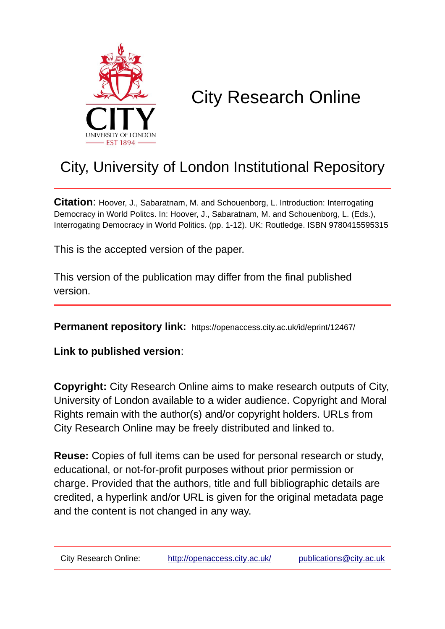

# City Research Online

## City, University of London Institutional Repository

**Citation**: Hoover, J., Sabaratnam, M. and Schouenborg, L. Introduction: Interrogating Democracy in World Politcs. In: Hoover, J., Sabaratnam, M. and Schouenborg, L. (Eds.), Interrogating Democracy in World Politics. (pp. 1-12). UK: Routledge. ISBN 9780415595315

This is the accepted version of the paper.

This version of the publication may differ from the final published version.

**Permanent repository link:** https://openaccess.city.ac.uk/id/eprint/12467/

**Link to published version**:

**Copyright:** City Research Online aims to make research outputs of City, University of London available to a wider audience. Copyright and Moral Rights remain with the author(s) and/or copyright holders. URLs from City Research Online may be freely distributed and linked to.

**Reuse:** Copies of full items can be used for personal research or study, educational, or not-for-profit purposes without prior permission or charge. Provided that the authors, title and full bibliographic details are credited, a hyperlink and/or URL is given for the original metadata page and the content is not changed in any way.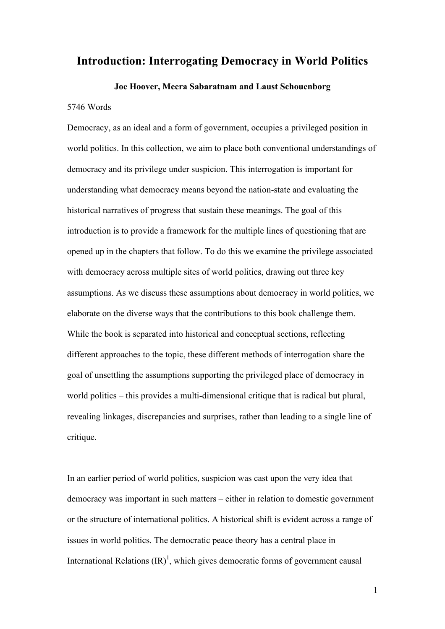## **Introduction: Interrogating Democracy in World Politics**

#### **Joe Hoover, Meera Sabaratnam and Laust Schouenborg**

#### 5746 Words

Democracy, as an ideal and a form of government, occupies a privileged position in world politics. In this collection, we aim to place both conventional understandings of democracy and its privilege under suspicion. This interrogation is important for understanding what democracy means beyond the nation-state and evaluating the historical narratives of progress that sustain these meanings. The goal of this introduction is to provide a framework for the multiple lines of questioning that are opened up in the chapters that follow. To do this we examine the privilege associated with democracy across multiple sites of world politics, drawing out three key assumptions. As we discuss these assumptions about democracy in world politics, we elaborate on the diverse ways that the contributions to this book challenge them. While the book is separated into historical and conceptual sections, reflecting different approaches to the topic, these different methods of interrogation share the goal of unsettling the assumptions supporting the privileged place of democracy in world politics – this provides a multi-dimensional critique that is radical but plural, revealing linkages, discrepancies and surprises, rather than leading to a single line of critique.

In an earlier period of world politics, suspicion was cast upon the very idea that democracy was important in such matters – either in relation to domestic government or the structure of international politics. A historical shift is evident across a range of issues in world politics. The democratic peace theory has a central place in International Relations  $(\text{IR})^1$ , which gives democratic forms of government causal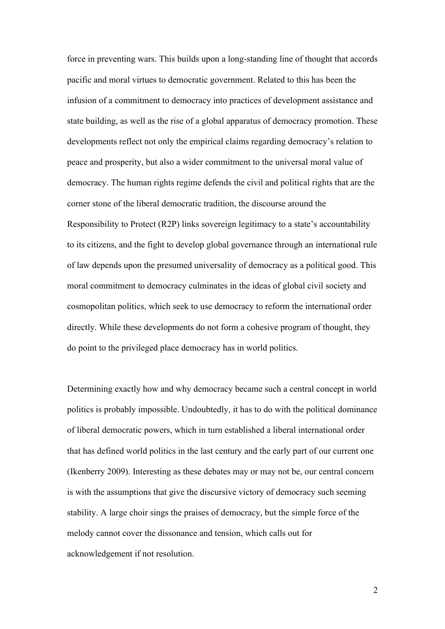force in preventing wars. This builds upon a long-standing line of thought that accords pacific and moral virtues to democratic government. Related to this has been the infusion of a commitment to democracy into practices of development assistance and state building, as well as the rise of a global apparatus of democracy promotion. These developments reflect not only the empirical claims regarding democracy's relation to peace and prosperity, but also a wider commitment to the universal moral value of democracy. The human rights regime defends the civil and political rights that are the corner stone of the liberal democratic tradition, the discourse around the Responsibility to Protect (R2P) links sovereign legitimacy to a state's accountability to its citizens, and the fight to develop global governance through an international rule of law depends upon the presumed universality of democracy as a political good. This moral commitment to democracy culminates in the ideas of global civil society and cosmopolitan politics, which seek to use democracy to reform the international order directly. While these developments do not form a cohesive program of thought, they do point to the privileged place democracy has in world politics.

Determining exactly how and why democracy became such a central concept in world politics is probably impossible. Undoubtedly, it has to do with the political dominance of liberal democratic powers, which in turn established a liberal international order that has defined world politics in the last century and the early part of our current one (Ikenberry 2009). Interesting as these debates may or may not be, our central concern is with the assumptions that give the discursive victory of democracy such seeming stability. A large choir sings the praises of democracy, but the simple force of the melody cannot cover the dissonance and tension, which calls out for acknowledgement if not resolution.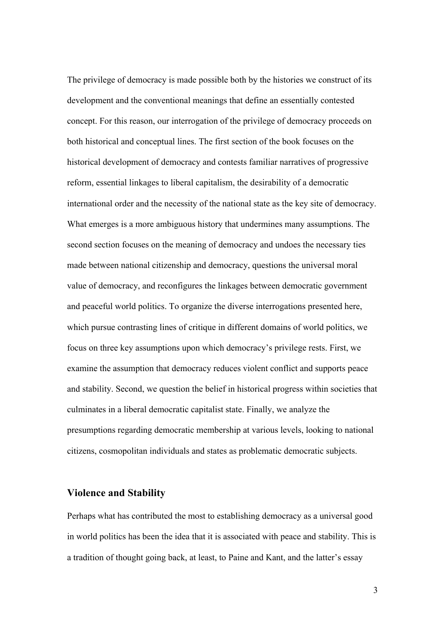The privilege of democracy is made possible both by the histories we construct of its development and the conventional meanings that define an essentially contested concept. For this reason, our interrogation of the privilege of democracy proceeds on both historical and conceptual lines. The first section of the book focuses on the historical development of democracy and contests familiar narratives of progressive reform, essential linkages to liberal capitalism, the desirability of a democratic international order and the necessity of the national state as the key site of democracy. What emerges is a more ambiguous history that undermines many assumptions. The second section focuses on the meaning of democracy and undoes the necessary ties made between national citizenship and democracy, questions the universal moral value of democracy, and reconfigures the linkages between democratic government and peaceful world politics. To organize the diverse interrogations presented here, which pursue contrasting lines of critique in different domains of world politics, we focus on three key assumptions upon which democracy's privilege rests. First, we examine the assumption that democracy reduces violent conflict and supports peace and stability. Second, we question the belief in historical progress within societies that culminates in a liberal democratic capitalist state. Finally, we analyze the presumptions regarding democratic membership at various levels, looking to national citizens, cosmopolitan individuals and states as problematic democratic subjects.

#### **Violence and Stability**

Perhaps what has contributed the most to establishing democracy as a universal good in world politics has been the idea that it is associated with peace and stability. This is a tradition of thought going back, at least, to Paine and Kant, and the latter's essay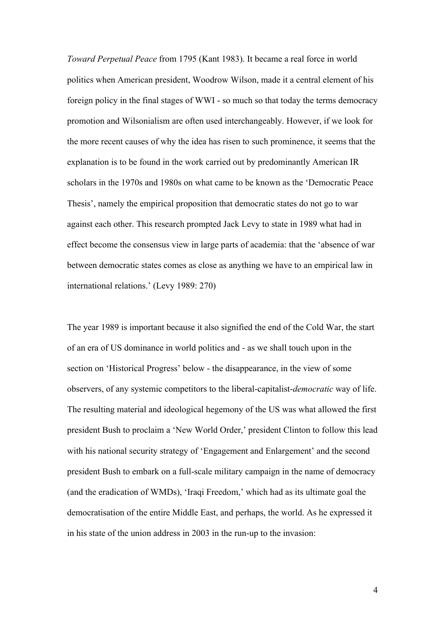*Toward Perpetual Peace* from 1795 (Kant 1983). It became a real force in world politics when American president, Woodrow Wilson, made it a central element of his foreign policy in the final stages of WWI - so much so that today the terms democracy promotion and Wilsonialism are often used interchangeably. However, if we look for the more recent causes of why the idea has risen to such prominence, it seems that the explanation is to be found in the work carried out by predominantly American IR scholars in the 1970s and 1980s on what came to be known as the 'Democratic Peace Thesis', namely the empirical proposition that democratic states do not go to war against each other. This research prompted Jack Levy to state in 1989 what had in effect become the consensus view in large parts of academia: that the 'absence of war between democratic states comes as close as anything we have to an empirical law in international relations.' (Levy 1989: 270)

The year 1989 is important because it also signified the end of the Cold War, the start of an era of US dominance in world politics and - as we shall touch upon in the section on 'Historical Progress' below - the disappearance, in the view of some observers, of any systemic competitors to the liberal-capitalist-*democratic* way of life. The resulting material and ideological hegemony of the US was what allowed the first president Bush to proclaim a 'New World Order,' president Clinton to follow this lead with his national security strategy of 'Engagement and Enlargement' and the second president Bush to embark on a full-scale military campaign in the name of democracy (and the eradication of WMDs), 'Iraqi Freedom,' which had as its ultimate goal the democratisation of the entire Middle East, and perhaps, the world. As he expressed it in his state of the union address in 2003 in the run-up to the invasion: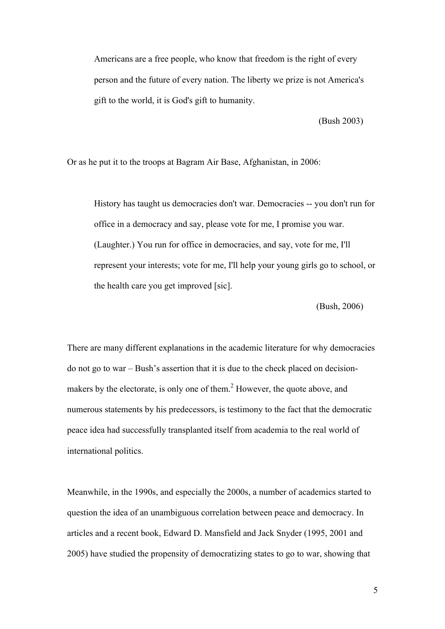Americans are a free people, who know that freedom is the right of every person and the future of every nation. The liberty we prize is not America's gift to the world, it is God's gift to humanity.

(Bush 2003)

Or as he put it to the troops at Bagram Air Base, Afghanistan, in 2006:

History has taught us democracies don't war. Democracies -- you don't run for office in a democracy and say, please vote for me, I promise you war. (Laughter.) You run for office in democracies, and say, vote for me, I'll represent your interests; vote for me, I'll help your young girls go to school, or the health care you get improved [sic].

(Bush, 2006)

There are many different explanations in the academic literature for why democracies do not go to war – Bush's assertion that it is due to the check placed on decisionmakers by the electorate, is only one of them.<sup>2</sup> However, the quote above, and numerous statements by his predecessors, is testimony to the fact that the democratic peace idea had successfully transplanted itself from academia to the real world of international politics.

Meanwhile, in the 1990s, and especially the 2000s, a number of academics started to question the idea of an unambiguous correlation between peace and democracy. In articles and a recent book, Edward D. Mansfield and Jack Snyder (1995, 2001 and 2005) have studied the propensity of democratizing states to go to war, showing that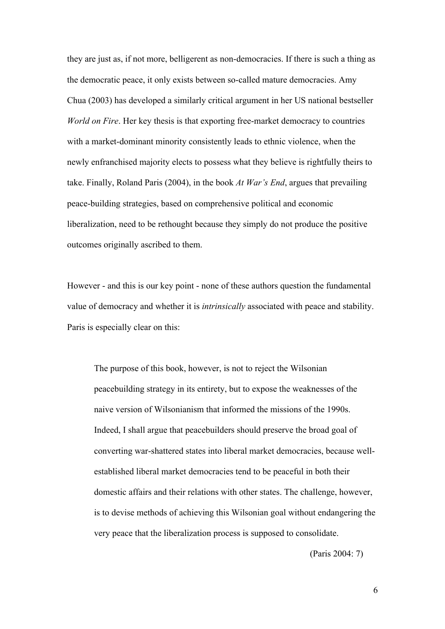they are just as, if not more, belligerent as non-democracies. If there is such a thing as the democratic peace, it only exists between so-called mature democracies. Amy Chua (2003) has developed a similarly critical argument in her US national bestseller *World on Fire*. Her key thesis is that exporting free-market democracy to countries with a market-dominant minority consistently leads to ethnic violence, when the newly enfranchised majority elects to possess what they believe is rightfully theirs to take. Finally, Roland Paris (2004), in the book *At War's End*, argues that prevailing peace-building strategies, based on comprehensive political and economic liberalization, need to be rethought because they simply do not produce the positive outcomes originally ascribed to them.

However - and this is our key point - none of these authors question the fundamental value of democracy and whether it is *intrinsically* associated with peace and stability. Paris is especially clear on this:

The purpose of this book, however, is not to reject the Wilsonian peacebuilding strategy in its entirety, but to expose the weaknesses of the naive version of Wilsonianism that informed the missions of the 1990s. Indeed, I shall argue that peacebuilders should preserve the broad goal of converting war-shattered states into liberal market democracies, because wellestablished liberal market democracies tend to be peaceful in both their domestic affairs and their relations with other states. The challenge, however, is to devise methods of achieving this Wilsonian goal without endangering the very peace that the liberalization process is supposed to consolidate.

(Paris 2004: 7)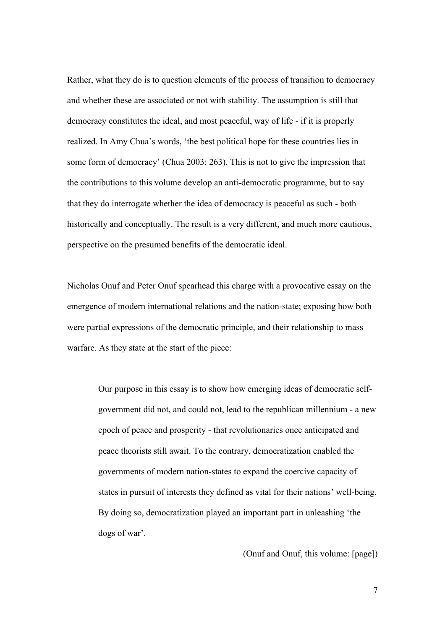Rather, what they do is to question elements of the process of transition to democracy and whether these are associated or not with stability. The assumption is still that democracy constitutes the ideal, and most peaceful, way of life - if it is properly realized. In Amy Chua's words, 'the best political hope for these countries lies in some form of democracy' (Chua 2003: 263). This is not to give the impression that the contributions to this volume develop an anti-democratic programme, but to say that they do interrogate whether the idea of democracy is peaceful as such - both historically and conceptually. The result is a very different, and much more cautious, perspective on the presumed benefits of the democratic ideal.

Nicholas Onuf and Peter Onuf spearhead this charge with a provocative essay on the emergence of modern international relations and the nation-state; exposing how both were partial expressions of the democratic principle, and their relationship to mass warfare. As they state at the start of the piece:

Our purpose in this essay is to show how emerging ideas of democratic selfgovernment did not, and could not, lead to the republican millennium - a new epoch of peace and prosperity - that revolutionaries once anticipated and peace theorists still await. To the contrary, democratization enabled the governments of modern nation-states to expand the coercive capacity of states in pursuit of interests they defined as vital for their nations' well-being. By doing so, democratization played an important part in unleashing 'the dogs of war'.

(Onuf and Onuf, this volume: [page])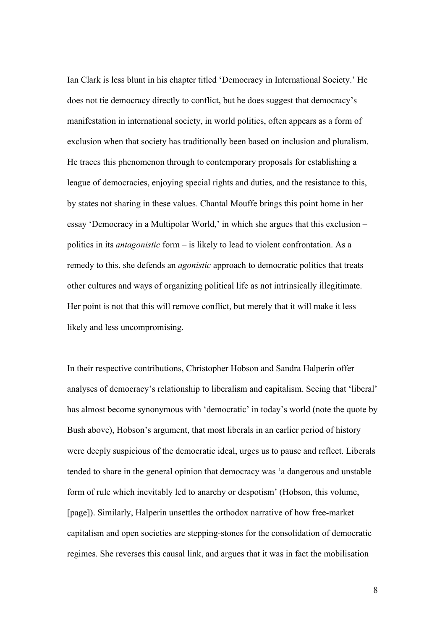Ian Clark is less blunt in his chapter titled 'Democracy in International Society.' He does not tie democracy directly to conflict, but he does suggest that democracy's manifestation in international society, in world politics, often appears as a form of exclusion when that society has traditionally been based on inclusion and pluralism. He traces this phenomenon through to contemporary proposals for establishing a league of democracies, enjoying special rights and duties, and the resistance to this, by states not sharing in these values. Chantal Mouffe brings this point home in her essay 'Democracy in a Multipolar World,' in which she argues that this exclusion – politics in its *antagonistic* form – is likely to lead to violent confrontation. As a remedy to this, she defends an *agonistic* approach to democratic politics that treats other cultures and ways of organizing political life as not intrinsically illegitimate. Her point is not that this will remove conflict, but merely that it will make it less likely and less uncompromising.

In their respective contributions, Christopher Hobson and Sandra Halperin offer analyses of democracy's relationship to liberalism and capitalism. Seeing that 'liberal' has almost become synonymous with 'democratic' in today's world (note the quote by Bush above), Hobson's argument, that most liberals in an earlier period of history were deeply suspicious of the democratic ideal, urges us to pause and reflect. Liberals tended to share in the general opinion that democracy was 'a dangerous and unstable form of rule which inevitably led to anarchy or despotism' (Hobson, this volume, [page]). Similarly, Halperin unsettles the orthodox narrative of how free-market capitalism and open societies are stepping-stones for the consolidation of democratic regimes. She reverses this causal link, and argues that it was in fact the mobilisation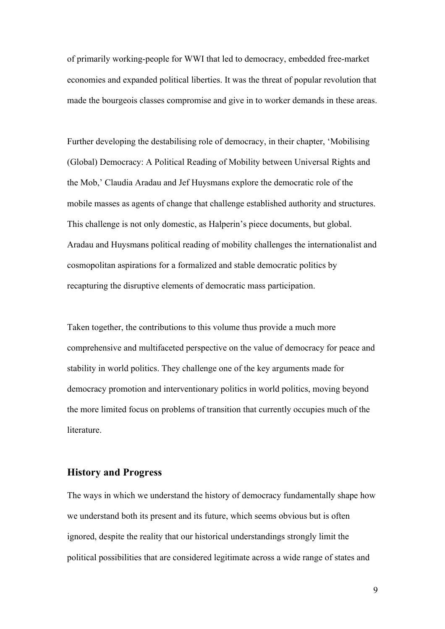of primarily working-people for WWI that led to democracy, embedded free-market economies and expanded political liberties. It was the threat of popular revolution that made the bourgeois classes compromise and give in to worker demands in these areas.

Further developing the destabilising role of democracy, in their chapter, 'Mobilising (Global) Democracy: A Political Reading of Mobility between Universal Rights and the Mob,' Claudia Aradau and Jef Huysmans explore the democratic role of the mobile masses as agents of change that challenge established authority and structures. This challenge is not only domestic, as Halperin's piece documents, but global. Aradau and Huysmans political reading of mobility challenges the internationalist and cosmopolitan aspirations for a formalized and stable democratic politics by recapturing the disruptive elements of democratic mass participation.

Taken together, the contributions to this volume thus provide a much more comprehensive and multifaceted perspective on the value of democracy for peace and stability in world politics. They challenge one of the key arguments made for democracy promotion and interventionary politics in world politics, moving beyond the more limited focus on problems of transition that currently occupies much of the literature.

### **History and Progress**

The ways in which we understand the history of democracy fundamentally shape how we understand both its present and its future, which seems obvious but is often ignored, despite the reality that our historical understandings strongly limit the political possibilities that are considered legitimate across a wide range of states and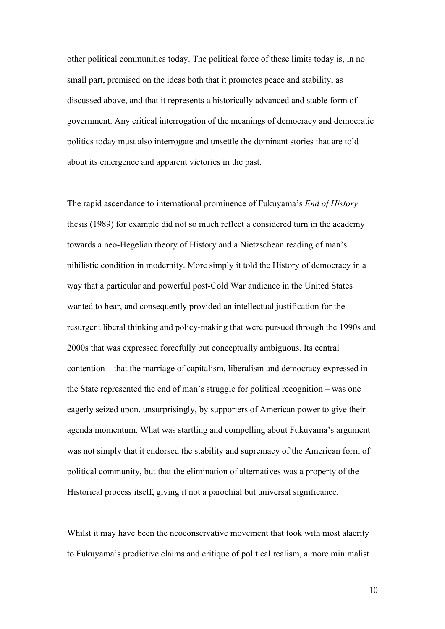other political communities today. The political force of these limits today is, in no small part, premised on the ideas both that it promotes peace and stability, as discussed above, and that it represents a historically advanced and stable form of government. Any critical interrogation of the meanings of democracy and democratic politics today must also interrogate and unsettle the dominant stories that are told about its emergence and apparent victories in the past.

The rapid ascendance to international prominence of Fukuyama's *End of History*  thesis (1989) for example did not so much reflect a considered turn in the academy towards a neo-Hegelian theory of History and a Nietzschean reading of man's nihilistic condition in modernity. More simply it told the History of democracy in a way that a particular and powerful post-Cold War audience in the United States wanted to hear, and consequently provided an intellectual justification for the resurgent liberal thinking and policy-making that were pursued through the 1990s and 2000s that was expressed forcefully but conceptually ambiguous. Its central contention – that the marriage of capitalism, liberalism and democracy expressed in the State represented the end of man's struggle for political recognition – was one eagerly seized upon, unsurprisingly, by supporters of American power to give their agenda momentum. What was startling and compelling about Fukuyama's argument was not simply that it endorsed the stability and supremacy of the American form of political community, but that the elimination of alternatives was a property of the Historical process itself, giving it not a parochial but universal significance.

Whilst it may have been the neoconservative movement that took with most alacrity to Fukuyama's predictive claims and critique of political realism, a more minimalist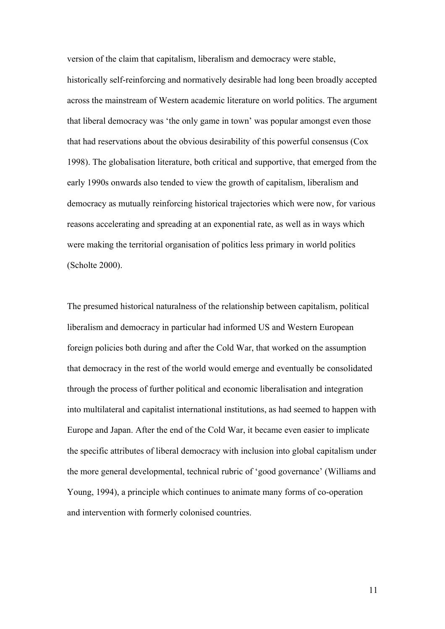version of the claim that capitalism, liberalism and democracy were stable,

historically self-reinforcing and normatively desirable had long been broadly accepted across the mainstream of Western academic literature on world politics. The argument that liberal democracy was 'the only game in town' was popular amongst even those that had reservations about the obvious desirability of this powerful consensus (Cox 1998). The globalisation literature, both critical and supportive, that emerged from the early 1990s onwards also tended to view the growth of capitalism, liberalism and democracy as mutually reinforcing historical trajectories which were now, for various reasons accelerating and spreading at an exponential rate, as well as in ways which were making the territorial organisation of politics less primary in world politics (Scholte 2000).

The presumed historical naturalness of the relationship between capitalism, political liberalism and democracy in particular had informed US and Western European foreign policies both during and after the Cold War, that worked on the assumption that democracy in the rest of the world would emerge and eventually be consolidated through the process of further political and economic liberalisation and integration into multilateral and capitalist international institutions, as had seemed to happen with Europe and Japan. After the end of the Cold War, it became even easier to implicate the specific attributes of liberal democracy with inclusion into global capitalism under the more general developmental, technical rubric of 'good governance' (Williams and Young, 1994), a principle which continues to animate many forms of co-operation and intervention with formerly colonised countries.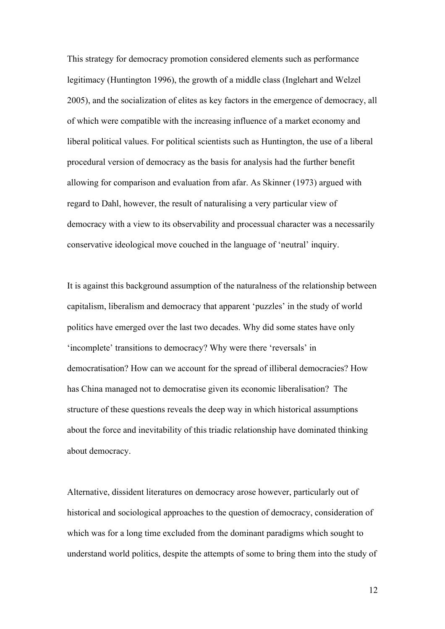This strategy for democracy promotion considered elements such as performance legitimacy (Huntington 1996), the growth of a middle class (Inglehart and Welzel 2005), and the socialization of elites as key factors in the emergence of democracy, all of which were compatible with the increasing influence of a market economy and liberal political values. For political scientists such as Huntington, the use of a liberal procedural version of democracy as the basis for analysis had the further benefit allowing for comparison and evaluation from afar. As Skinner (1973) argued with regard to Dahl, however, the result of naturalising a very particular view of democracy with a view to its observability and processual character was a necessarily conservative ideological move couched in the language of 'neutral' inquiry.

It is against this background assumption of the naturalness of the relationship between capitalism, liberalism and democracy that apparent 'puzzles' in the study of world politics have emerged over the last two decades. Why did some states have only 'incomplete' transitions to democracy? Why were there 'reversals' in democratisation? How can we account for the spread of illiberal democracies? How has China managed not to democratise given its economic liberalisation? The structure of these questions reveals the deep way in which historical assumptions about the force and inevitability of this triadic relationship have dominated thinking about democracy.

Alternative, dissident literatures on democracy arose however, particularly out of historical and sociological approaches to the question of democracy, consideration of which was for a long time excluded from the dominant paradigms which sought to understand world politics, despite the attempts of some to bring them into the study of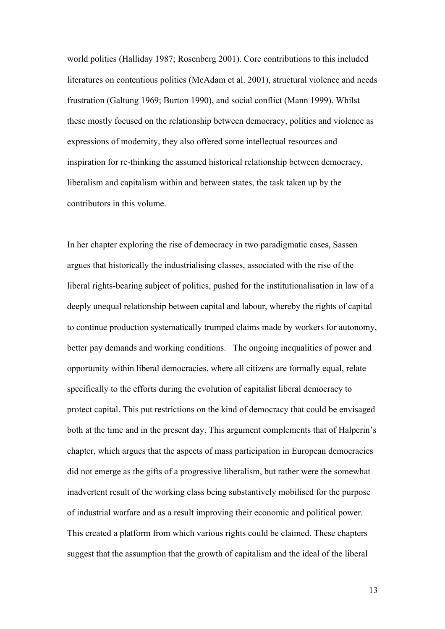world politics (Halliday 1987; Rosenberg 2001). Core contributions to this included literatures on contentious politics (McAdam et al. 2001), structural violence and needs frustration (Galtung 1969; Burton 1990), and social conflict (Mann 1999). Whilst these mostly focused on the relationship between democracy, politics and violence as expressions of modernity, they also offered some intellectual resources and inspiration for re-thinking the assumed historical relationship between democracy, liberalism and capitalism within and between states, the task taken up by the contributors in this volume.

In her chapter exploring the rise of democracy in two paradigmatic cases, Sassen argues that historically the industrialising classes, associated with the rise of the liberal rights-bearing subject of politics, pushed for the institutionalisation in law of a deeply unequal relationship between capital and labour, whereby the rights of capital to continue production systematically trumped claims made by workers for autonomy, better pay demands and working conditions. The ongoing inequalities of power and opportunity within liberal democracies, where all citizens are formally equal, relate specifically to the efforts during the evolution of capitalist liberal democracy to protect capital. This put restrictions on the kind of democracy that could be envisaged both at the time and in the present day. This argument complements that of Halperin's chapter, which argues that the aspects of mass participation in European democracies did not emerge as the gifts of a progressive liberalism, but rather were the somewhat inadvertent result of the working class being substantively mobilised for the purpose of industrial warfare and as a result improving their economic and political power. This created a platform from which various rights could be claimed. These chapters suggest that the assumption that the growth of capitalism and the ideal of the liberal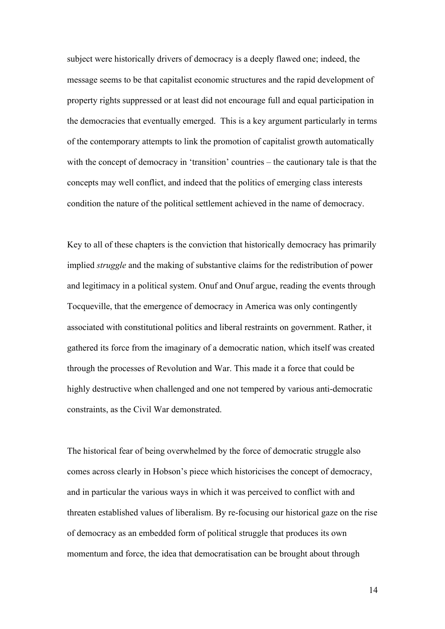subject were historically drivers of democracy is a deeply flawed one; indeed, the message seems to be that capitalist economic structures and the rapid development of property rights suppressed or at least did not encourage full and equal participation in the democracies that eventually emerged. This is a key argument particularly in terms of the contemporary attempts to link the promotion of capitalist growth automatically with the concept of democracy in 'transition' countries – the cautionary tale is that the concepts may well conflict, and indeed that the politics of emerging class interests condition the nature of the political settlement achieved in the name of democracy.

Key to all of these chapters is the conviction that historically democracy has primarily implied *struggle* and the making of substantive claims for the redistribution of power and legitimacy in a political system. Onuf and Onuf argue, reading the events through Tocqueville, that the emergence of democracy in America was only contingently associated with constitutional politics and liberal restraints on government. Rather, it gathered its force from the imaginary of a democratic nation, which itself was created through the processes of Revolution and War. This made it a force that could be highly destructive when challenged and one not tempered by various anti-democratic constraints, as the Civil War demonstrated.

The historical fear of being overwhelmed by the force of democratic struggle also comes across clearly in Hobson's piece which historicises the concept of democracy, and in particular the various ways in which it was perceived to conflict with and threaten established values of liberalism. By re-focusing our historical gaze on the rise of democracy as an embedded form of political struggle that produces its own momentum and force, the idea that democratisation can be brought about through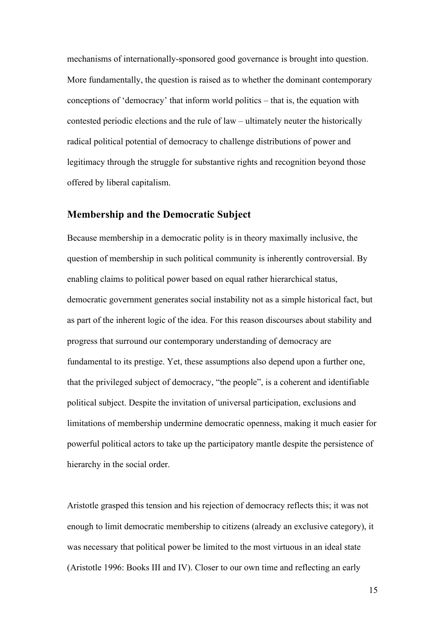mechanisms of internationally-sponsored good governance is brought into question. More fundamentally, the question is raised as to whether the dominant contemporary conceptions of 'democracy' that inform world politics – that is, the equation with contested periodic elections and the rule of law – ultimately neuter the historically radical political potential of democracy to challenge distributions of power and legitimacy through the struggle for substantive rights and recognition beyond those offered by liberal capitalism.

#### **Membership and the Democratic Subject**

Because membership in a democratic polity is in theory maximally inclusive, the question of membership in such political community is inherently controversial. By enabling claims to political power based on equal rather hierarchical status, democratic government generates social instability not as a simple historical fact, but as part of the inherent logic of the idea. For this reason discourses about stability and progress that surround our contemporary understanding of democracy are fundamental to its prestige. Yet, these assumptions also depend upon a further one, that the privileged subject of democracy, "the people", is a coherent and identifiable political subject. Despite the invitation of universal participation, exclusions and limitations of membership undermine democratic openness, making it much easier for powerful political actors to take up the participatory mantle despite the persistence of hierarchy in the social order.

Aristotle grasped this tension and his rejection of democracy reflects this; it was not enough to limit democratic membership to citizens (already an exclusive category), it was necessary that political power be limited to the most virtuous in an ideal state (Aristotle 1996: Books III and IV). Closer to our own time and reflecting an early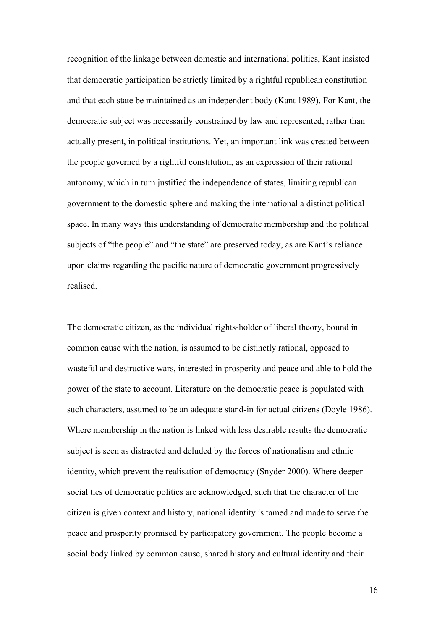recognition of the linkage between domestic and international politics, Kant insisted that democratic participation be strictly limited by a rightful republican constitution and that each state be maintained as an independent body (Kant 1989). For Kant, the democratic subject was necessarily constrained by law and represented, rather than actually present, in political institutions. Yet, an important link was created between the people governed by a rightful constitution, as an expression of their rational autonomy, which in turn justified the independence of states, limiting republican government to the domestic sphere and making the international a distinct political space. In many ways this understanding of democratic membership and the political subjects of "the people" and "the state" are preserved today, as are Kant's reliance upon claims regarding the pacific nature of democratic government progressively realised.

The democratic citizen, as the individual rights-holder of liberal theory, bound in common cause with the nation, is assumed to be distinctly rational, opposed to wasteful and destructive wars, interested in prosperity and peace and able to hold the power of the state to account. Literature on the democratic peace is populated with such characters, assumed to be an adequate stand-in for actual citizens (Doyle 1986). Where membership in the nation is linked with less desirable results the democratic subject is seen as distracted and deluded by the forces of nationalism and ethnic identity, which prevent the realisation of democracy (Snyder 2000). Where deeper social ties of democratic politics are acknowledged, such that the character of the citizen is given context and history, national identity is tamed and made to serve the peace and prosperity promised by participatory government. The people become a social body linked by common cause, shared history and cultural identity and their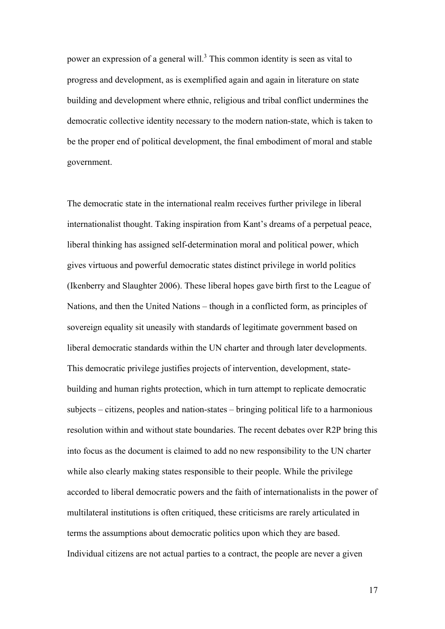power an expression of a general will.<sup>3</sup> This common identity is seen as vital to progress and development, as is exemplified again and again in literature on state building and development where ethnic, religious and tribal conflict undermines the democratic collective identity necessary to the modern nation-state, which is taken to be the proper end of political development, the final embodiment of moral and stable government.

The democratic state in the international realm receives further privilege in liberal internationalist thought. Taking inspiration from Kant's dreams of a perpetual peace, liberal thinking has assigned self-determination moral and political power, which gives virtuous and powerful democratic states distinct privilege in world politics (Ikenberry and Slaughter 2006). These liberal hopes gave birth first to the League of Nations, and then the United Nations – though in a conflicted form, as principles of sovereign equality sit uneasily with standards of legitimate government based on liberal democratic standards within the UN charter and through later developments. This democratic privilege justifies projects of intervention, development, statebuilding and human rights protection, which in turn attempt to replicate democratic subjects – citizens, peoples and nation-states – bringing political life to a harmonious resolution within and without state boundaries. The recent debates over R2P bring this into focus as the document is claimed to add no new responsibility to the UN charter while also clearly making states responsible to their people. While the privilege accorded to liberal democratic powers and the faith of internationalists in the power of multilateral institutions is often critiqued, these criticisms are rarely articulated in terms the assumptions about democratic politics upon which they are based. Individual citizens are not actual parties to a contract, the people are never a given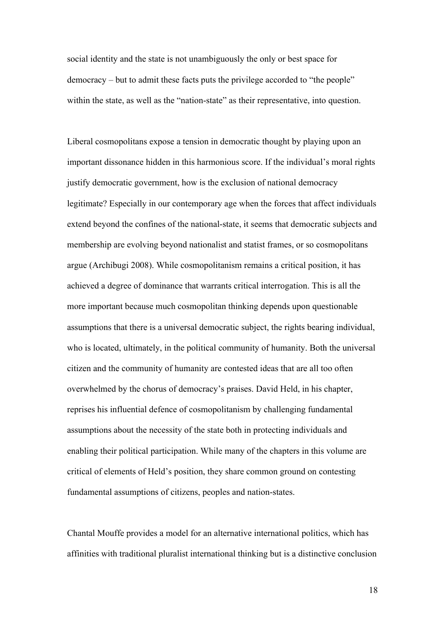social identity and the state is not unambiguously the only or best space for democracy – but to admit these facts puts the privilege accorded to "the people" within the state, as well as the "nation-state" as their representative, into question.

Liberal cosmopolitans expose a tension in democratic thought by playing upon an important dissonance hidden in this harmonious score. If the individual's moral rights justify democratic government, how is the exclusion of national democracy legitimate? Especially in our contemporary age when the forces that affect individuals extend beyond the confines of the national-state, it seems that democratic subjects and membership are evolving beyond nationalist and statist frames, or so cosmopolitans argue (Archibugi 2008). While cosmopolitanism remains a critical position, it has achieved a degree of dominance that warrants critical interrogation. This is all the more important because much cosmopolitan thinking depends upon questionable assumptions that there is a universal democratic subject, the rights bearing individual, who is located, ultimately, in the political community of humanity. Both the universal citizen and the community of humanity are contested ideas that are all too often overwhelmed by the chorus of democracy's praises. David Held, in his chapter, reprises his influential defence of cosmopolitanism by challenging fundamental assumptions about the necessity of the state both in protecting individuals and enabling their political participation. While many of the chapters in this volume are critical of elements of Held's position, they share common ground on contesting fundamental assumptions of citizens, peoples and nation-states.

Chantal Mouffe provides a model for an alternative international politics, which has affinities with traditional pluralist international thinking but is a distinctive conclusion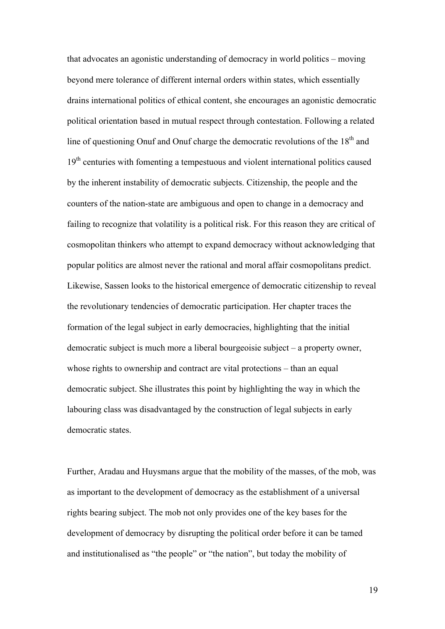that advocates an agonistic understanding of democracy in world politics – moving beyond mere tolerance of different internal orders within states, which essentially drains international politics of ethical content, she encourages an agonistic democratic political orientation based in mutual respect through contestation. Following a related line of questioning Onuf and Onuf charge the democratic revolutions of the  $18<sup>th</sup>$  and 19<sup>th</sup> centuries with fomenting a tempestuous and violent international politics caused by the inherent instability of democratic subjects. Citizenship, the people and the counters of the nation-state are ambiguous and open to change in a democracy and failing to recognize that volatility is a political risk. For this reason they are critical of cosmopolitan thinkers who attempt to expand democracy without acknowledging that popular politics are almost never the rational and moral affair cosmopolitans predict. Likewise, Sassen looks to the historical emergence of democratic citizenship to reveal the revolutionary tendencies of democratic participation. Her chapter traces the formation of the legal subject in early democracies, highlighting that the initial democratic subject is much more a liberal bourgeoisie subject – a property owner, whose rights to ownership and contract are vital protections – than an equal democratic subject. She illustrates this point by highlighting the way in which the labouring class was disadvantaged by the construction of legal subjects in early democratic states.

Further, Aradau and Huysmans argue that the mobility of the masses, of the mob, was as important to the development of democracy as the establishment of a universal rights bearing subject. The mob not only provides one of the key bases for the development of democracy by disrupting the political order before it can be tamed and institutionalised as "the people" or "the nation", but today the mobility of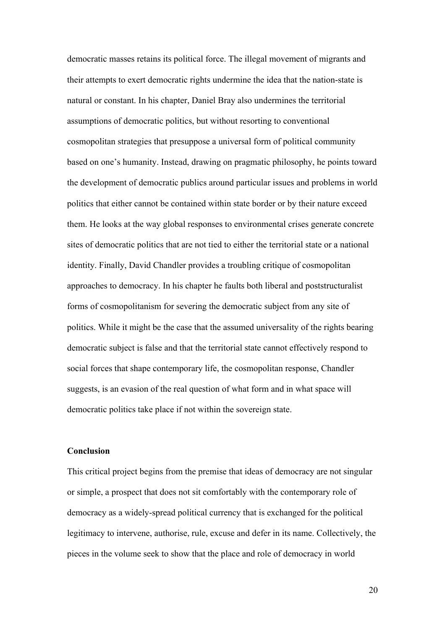democratic masses retains its political force. The illegal movement of migrants and their attempts to exert democratic rights undermine the idea that the nation-state is natural or constant. In his chapter, Daniel Bray also undermines the territorial assumptions of democratic politics, but without resorting to conventional cosmopolitan strategies that presuppose a universal form of political community based on one's humanity. Instead, drawing on pragmatic philosophy, he points toward the development of democratic publics around particular issues and problems in world politics that either cannot be contained within state border or by their nature exceed them. He looks at the way global responses to environmental crises generate concrete sites of democratic politics that are not tied to either the territorial state or a national identity. Finally, David Chandler provides a troubling critique of cosmopolitan approaches to democracy. In his chapter he faults both liberal and poststructuralist forms of cosmopolitanism for severing the democratic subject from any site of politics. While it might be the case that the assumed universality of the rights bearing democratic subject is false and that the territorial state cannot effectively respond to social forces that shape contemporary life, the cosmopolitan response, Chandler suggests, is an evasion of the real question of what form and in what space will democratic politics take place if not within the sovereign state.

#### **Conclusion**

This critical project begins from the premise that ideas of democracy are not singular or simple, a prospect that does not sit comfortably with the contemporary role of democracy as a widely-spread political currency that is exchanged for the political legitimacy to intervene, authorise, rule, excuse and defer in its name. Collectively, the pieces in the volume seek to show that the place and role of democracy in world